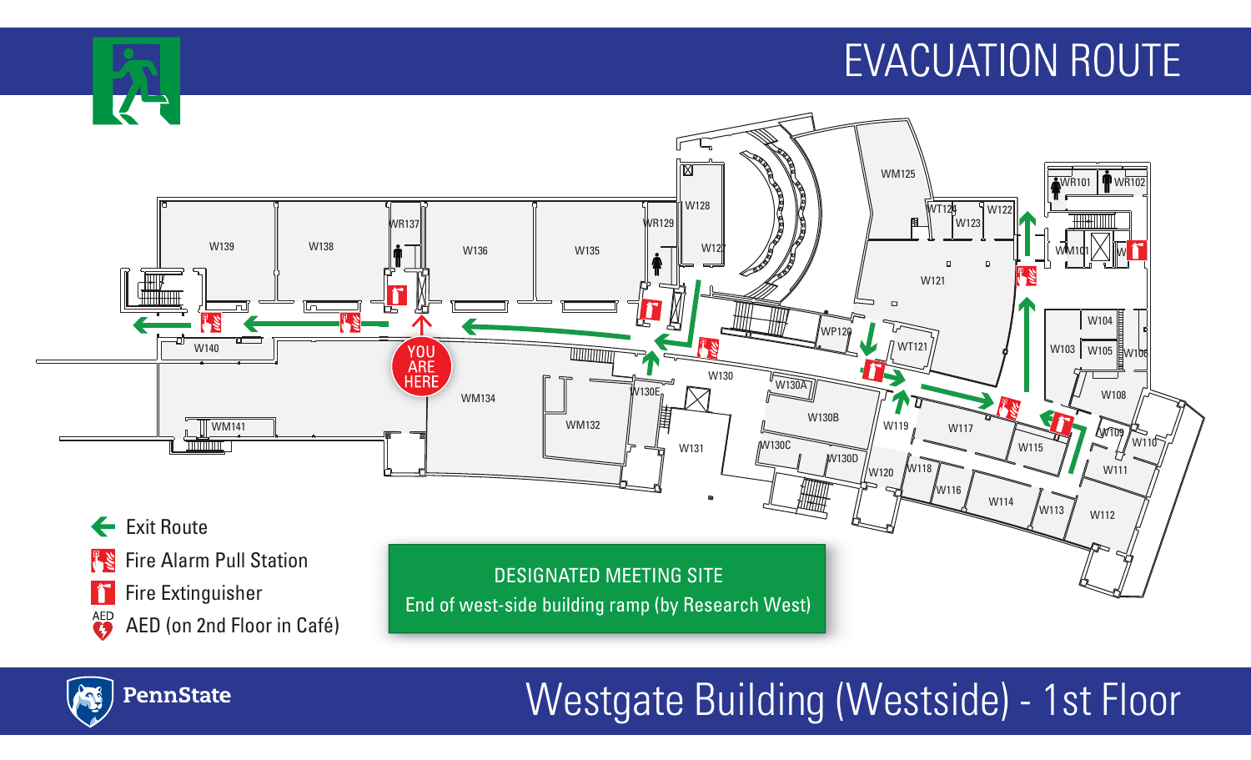

PennState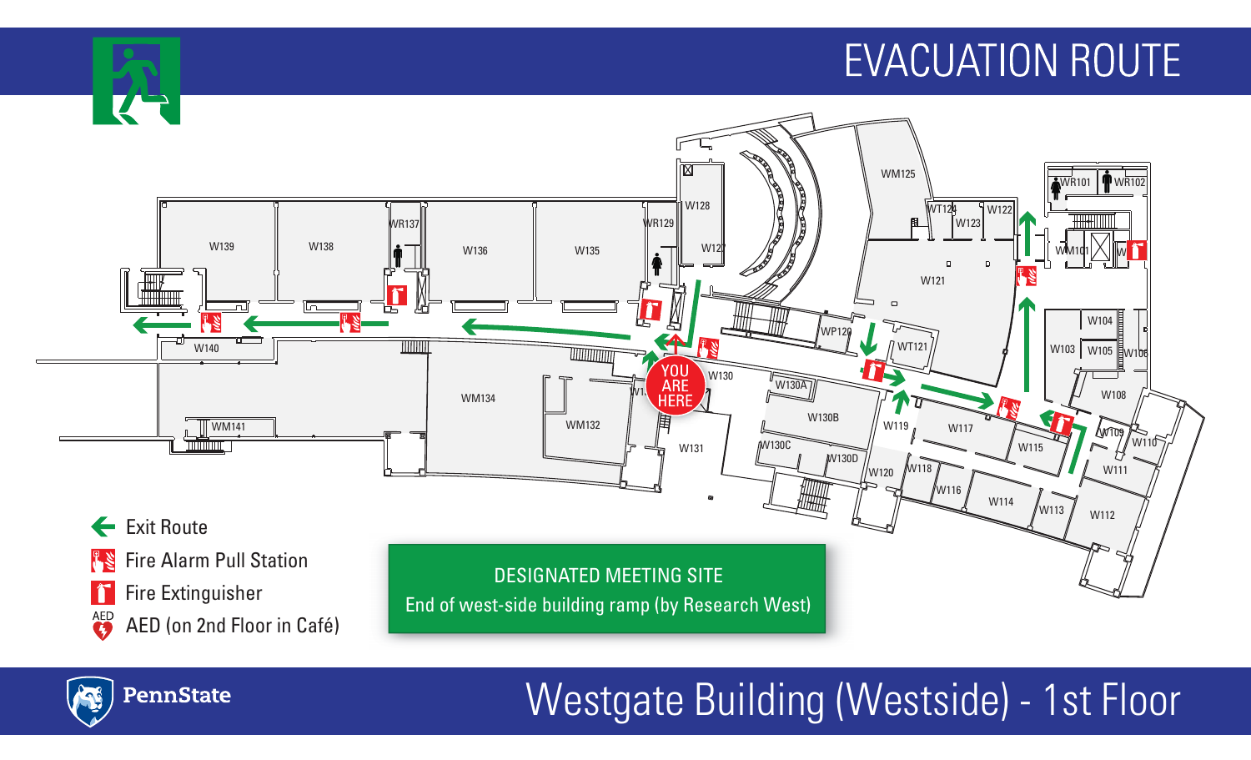

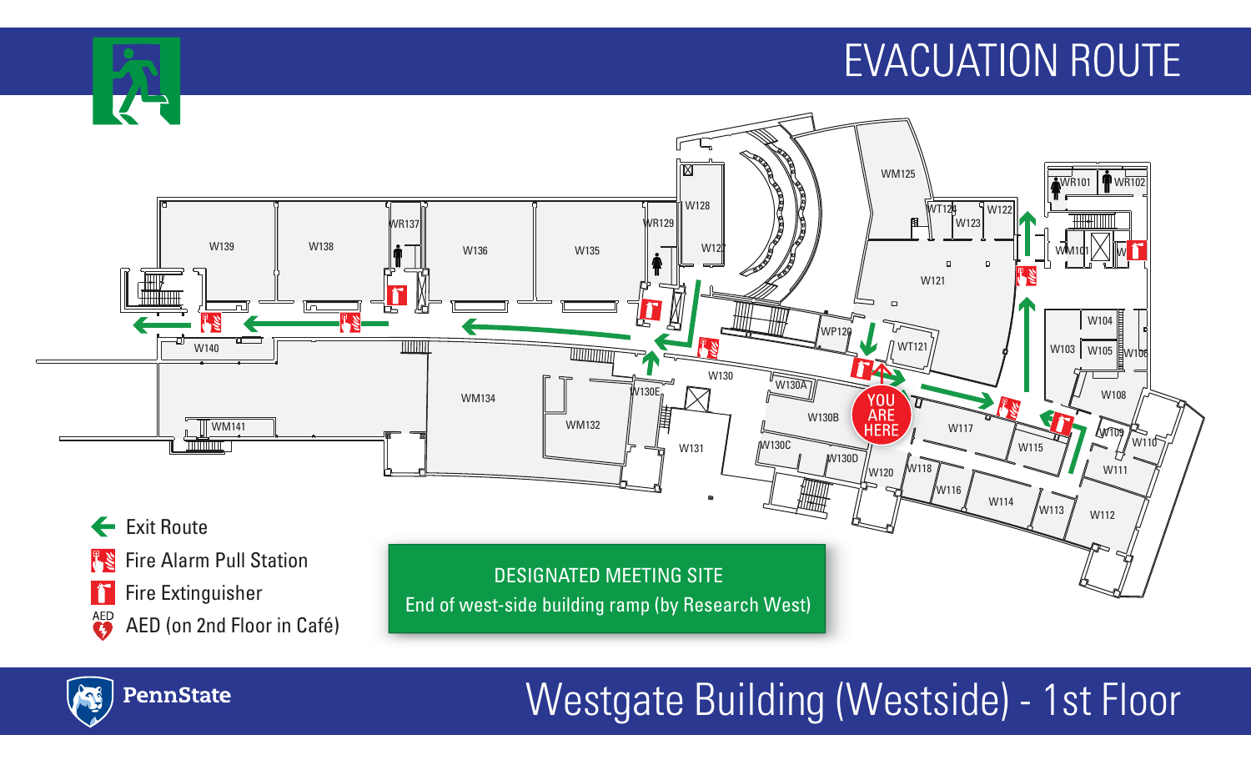

PennState